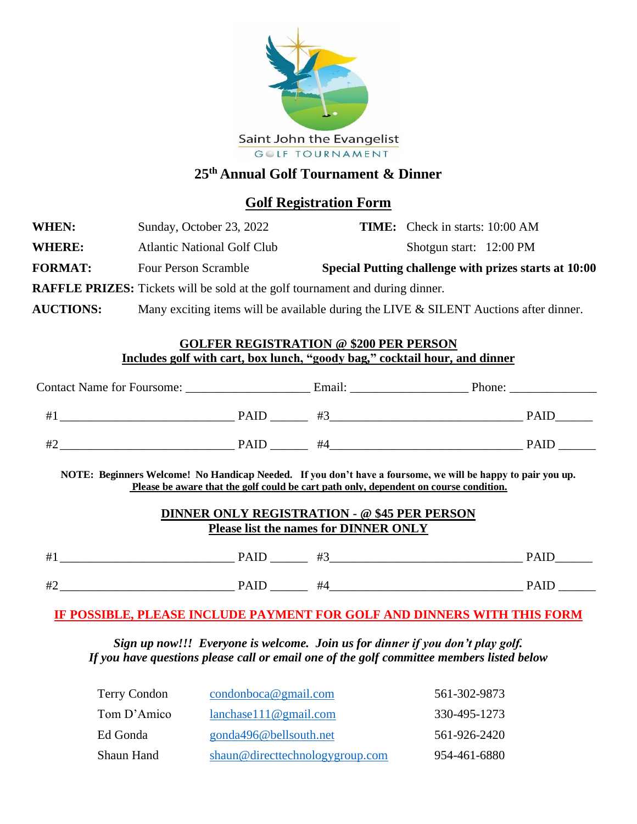

# **25 th Annual Golf Tournament & Dinner**

## **Golf Registration Form**

**WHEN:** Sunday, October 23, 2022 **TIME:** Check in starts: 10:00 AM

**WHERE:** Atlantic National Golf Club Shotgun start: 12:00 PM

**FORMAT:** Four Person Scramble **Special Putting challenge with prizes starts at 10:00**

**RAFFLE PRIZES:** Tickets will be sold at the golf tournament and during dinner.

**AUCTIONS:** Many exciting items will be available during the LIVE & SILENT Auctions after dinner.

### **GOLFER REGISTRATION @ \$200 PER PERSON Includes golf with cart, box lunch, "goody bag," cocktail hour, and dinner**

| Contact Name for Foursome: |             | Email: | Phone:      |  |
|----------------------------|-------------|--------|-------------|--|
| $#^{\circ}$                | <b>PAID</b> | #3     | <b>PAID</b> |  |
| #2                         | <b>PAID</b> | #4     | <b>PAID</b> |  |

**NOTE: Beginners Welcome! No Handicap Needed. If you don't have a foursome, we will be happy to pair you up. Please be aware that the golf could be cart path only, dependent on course condition.**

## **DINNER ONLY REGISTRATION - @ \$45 PER PERSON Please list the names for DINNER ONLY**

| #1 | . .<br>ີ        |          |
|----|-----------------|----------|
| #2 | . .<br>ำ ⊷<br>. | <u>.</u> |

## **IF POSSIBLE, PLEASE INCLUDE PAYMENT FOR GOLF AND DINNERS WITH THIS FORM**

*Sign up now!!! Everyone is welcome. Join us for dinner if you don't play golf. If you have questions please call or email one of the golf committee members listed below*

| Terry Condon | condonboca@gmail.com            | 561-302-9873 |
|--------------|---------------------------------|--------------|
| Tom D'Amico  | lanchase111@gmail.com           | 330-495-1273 |
| Ed Gonda     | gonda496@bellsouth.net          | 561-926-2420 |
| Shaun Hand   | shaun@directtechnologygroup.com | 954-461-6880 |